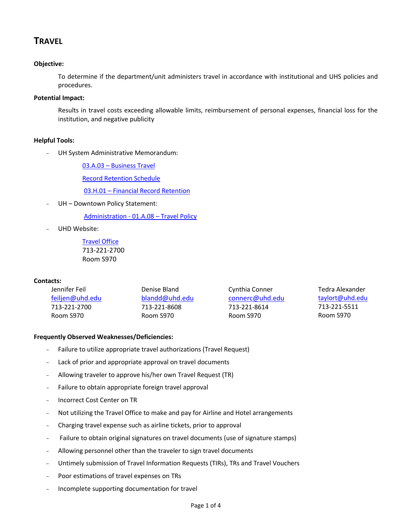# **TRAVEL**

## **Objective:**

To determine if the department/unit administers travel in accordance with institutional and UHS policies and procedures.

### **Potential Impact:**

Results in travel costs exceeding allowable limits, reimbursement of personal expenses, financial loss for the institution, and negative publicity

#### **Helpful Tools:**

- UH System Administrative Memorandum:

03.A.03 – [Business Travel](http://www.uhsa.uh.edu/sam/3FicsalAffairs/3A3.pdf)

Record [Retention Schedule](http://www.uh.edu/finance/references/Record_Retention/Retention_Schedule.pdf)

03.H.01 – [Financial Record Retention](http://www.uhsa.uh.edu/sam/3FicsalAffairs/3H1.pdf)

UH - Downtown Policy Statement:

[Administration -](http://www.uhd.edu/about/hr/PS01A08.pdf) 01.A.08 – Travel Policy

UHD Website:

[Travel Office](http://www.uhd.edu/facultyandstaff/busaff/TravelOffice.html) 713-221-2700 Room S970

#### **Contacts:**

| Jennifer Feil   | Denise Bland   | Cynthia Conner  | Tedra Alexander |  |
|-----------------|----------------|-----------------|-----------------|--|
| feiljen@uhd.edu | blandd@uhd.edu | connerc@uhd.edu | taylort@uhd.edu |  |
| 713-221-2700    | 713-221-8608   | 713-221-8614    | 713-221-5511    |  |
| Room S970       | Room S970      | Room S970       | Room S970       |  |

#### **Frequently Observed Weaknesses/Deficiencies:**

- Failure to utilize appropriate travel authorizations (Travel Request)
- Lack of prior and appropriate approval on travel documents
- Allowing traveler to approve his/her own Travel Request (TR)
- Failure to obtain appropriate foreign travel approval
- Incorrect Cost Center on TR
- Not utilizing the Travel Office to make and pay for Airline and Hotel arrangements
- Charging travel expense such as airline tickets, prior to approval
- Failure to obtain original signatures on travel documents (use of signature stamps)
- Allowing personnel other than the traveler to sign travel documents
- Untimely submission of Travel Information Requests (TIRs), TRs and Travel Vouchers
- Poor estimations of travel expenses on TRs
- Incomplete supporting documentation for travel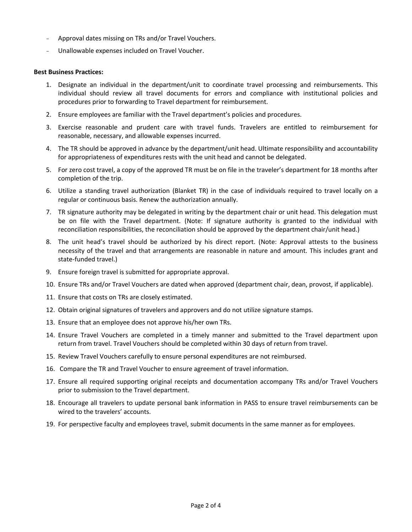- Approval dates missing on TRs and/or Travel Vouchers.
- Unallowable expenses included on Travel Voucher.

#### **Best Business Practices:**

- 1. Designate an individual in the department/unit to coordinate travel processing and reimbursements. This individual should review all travel documents for errors and compliance with institutional policies and procedures prior to forwarding to Travel department for reimbursement.
- 2. Ensure employees are familiar with the Travel department's policies and procedures.
- 3. Exercise reasonable and prudent care with travel funds. Travelers are entitled to reimbursement for reasonable, necessary, and allowable expenses incurred.
- 4. The TR should be approved in advance by the department/unit head. Ultimate responsibility and accountability for appropriateness of expenditures rests with the unit head and cannot be delegated.
- 5. For zero cost travel, a copy of the approved TR must be on file in the traveler's department for 18 months after completion of the trip.
- 6. Utilize a standing travel authorization (Blanket TR) in the case of individuals required to travel locally on a regular or continuous basis. Renew the authorization annually.
- 7. TR signature authority may be delegated in writing by the department chair or unit head. This delegation must be on file with the Travel department. (Note: If signature authority is granted to the individual with reconciliation responsibilities, the reconciliation should be approved by the department chair/unit head.)
- 8. The unit head's travel should be authorized by his direct report. (Note: Approval attests to the business necessity of the travel and that arrangements are reasonable in nature and amount. This includes grant and state-funded travel.)
- 9. Ensure foreign travel is submitted for appropriate approval.
- 10. Ensure TRs and/or Travel Vouchers are dated when approved (department chair, dean, provost, if applicable).
- 11. Ensure that costs on TRs are closely estimated.
- 12. Obtain original signatures of travelers and approvers and do not utilize signature stamps.
- 13. Ensure that an employee does not approve his/her own TRs.
- 14. Ensure Travel Vouchers are completed in a timely manner and submitted to the Travel department upon return from travel. Travel Vouchers should be completed within 30 days of return from travel.
- 15. Review Travel Vouchers carefully to ensure personal expenditures are not reimbursed.
- 16. Compare the TR and Travel Voucher to ensure agreement of travel information.
- 17. Ensure all required supporting original receipts and documentation accompany TRs and/or Travel Vouchers prior to submission to the Travel department.
- 18. Encourage all travelers to update personal bank information in PASS to ensure travel reimbursements can be wired to the travelers' accounts.
- 19. For perspective faculty and employees travel, submit documents in the same manner as for employees.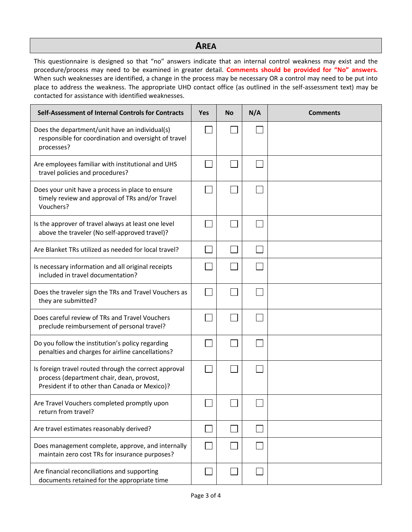# **AREA**

This questionnaire is designed so that "no" answers indicate that an internal control weakness may exist and the procedure/process may need to be examined in greater detail. **Comments should be provided for "No" answers.**  When such weaknesses are identified, a change in the process may be necessary OR a control may need to be put into place to address the weakness. The appropriate UHD contact office (as outlined in the self-assessment text) may be contacted for assistance with identified weaknesses.

| Self-Assessment of Internal Controls for Contracts                                                                                                  |  | <b>No</b> | N/A | <b>Comments</b> |
|-----------------------------------------------------------------------------------------------------------------------------------------------------|--|-----------|-----|-----------------|
| Does the department/unit have an individual(s)<br>responsible for coordination and oversight of travel<br>processes?                                |  |           |     |                 |
| Are employees familiar with institutional and UHS<br>travel policies and procedures?                                                                |  |           |     |                 |
| Does your unit have a process in place to ensure<br>timely review and approval of TRs and/or Travel<br>Vouchers?                                    |  |           |     |                 |
| Is the approver of travel always at least one level<br>above the traveler (No self-approved travel)?                                                |  |           |     |                 |
| Are Blanket TRs utilized as needed for local travel?                                                                                                |  |           |     |                 |
| Is necessary information and all original receipts<br>included in travel documentation?                                                             |  |           |     |                 |
| Does the traveler sign the TRs and Travel Vouchers as<br>they are submitted?                                                                        |  |           |     |                 |
| Does careful review of TRs and Travel Vouchers<br>preclude reimbursement of personal travel?                                                        |  |           |     |                 |
| Do you follow the institution's policy regarding<br>penalties and charges for airline cancellations?                                                |  |           |     |                 |
| Is foreign travel routed through the correct approval<br>process (department chair, dean, provost,<br>President if to other than Canada or Mexico)? |  |           |     |                 |
| Are Travel Vouchers completed promptly upon<br>return from travel?                                                                                  |  |           |     |                 |
| Are travel estimates reasonably derived?                                                                                                            |  |           |     |                 |
| Does management complete, approve, and internally<br>maintain zero cost TRs for insurance purposes?                                                 |  |           |     |                 |
| Are financial reconciliations and supporting<br>documents retained for the appropriate time                                                         |  |           |     |                 |